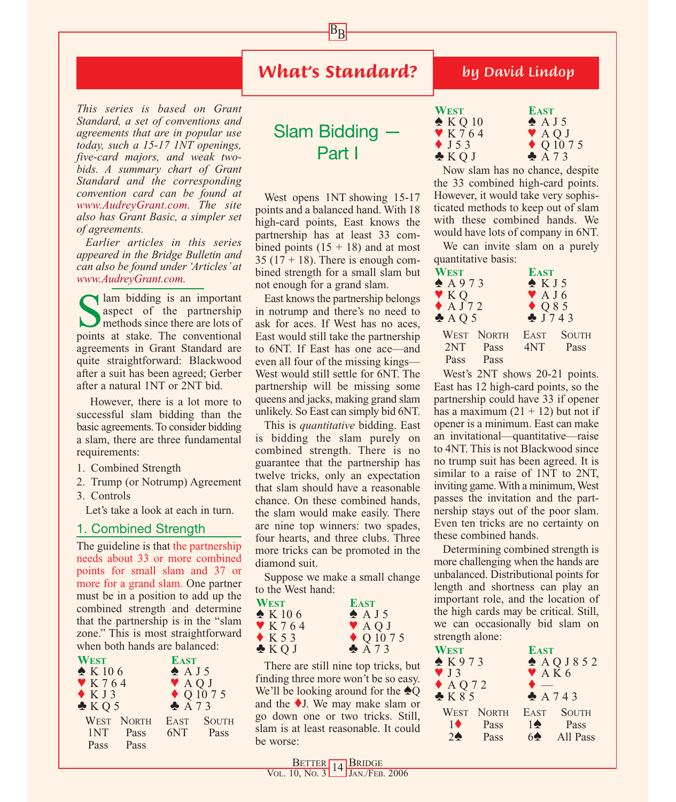## *What's Standard?*

 $B_{\underline{B}}$ 

*This series is based on Grant Standard, a set of conventions and agreements that are in popular use today, such a 15-17 1NT openings, five-card majors, and weak twobids. A summary chart of Grant Standard and the corresponding convention card can be found at www.AudreyGrant.com. The site also has Grant Basic, a simpler set of agreements.*

*Earlier articles in this series appeared in the Bridge Bulletin and can also be found under 'Articles' at www.AudreyGrant.com.*

Salm bidding is an important<br>aspect of the partnership<br>methods since there are lots of<br>noints at stake. The conventional aspect of the partnership methods since there are lots of points at stake. The conventional agreements in Grant Standard are quite straightforward: Blackwood after a suit has been agreed; Gerber after a natural 1NT or 2NT bid.

However, there is a lot more to successful slam bidding than the basic agreements. To consider bidding a slam, there are three fundamental requirements:

- 1. Combined Strength
- 2. Trump (or Notrump) Agreement
- 3. Controls

Let's take a look at each in turn.

#### 1. Combined Strength

The guideline is that the partnership needs about 33 or more combined points for small slam and 37 or more for a grand slam. One partner must be in a position to add up the combined strength and determine that the partnership is in the "slam zone." This is most straightforward when both hands are balanced:

| <b>WEST</b>          |                   | <b>EAST</b>       |                          |
|----------------------|-------------------|-------------------|--------------------------|
| $\triangle K106$     |                   | $\triangle$ A J 5 |                          |
| $\mathbf{Y}$ K 7 6 4 |                   | VAQJ              |                          |
| KJ3                  |                   |                   | $\blacklozenge$ Q 10 7 5 |
| KQ5                  |                   | A73               |                          |
|                      | <b>WEST NORTH</b> | EAST              | <b>SOUTH</b>             |
| 1NT                  | Pass              | 6NT               | Pass                     |
| Pass                 | <b>Pass</b>       |                   |                          |
|                      |                   |                   |                          |

# Slam Bidding — Part I

West opens 1NT showing 15-17 points and a balanced hand. With 18 high-card points, East knows the partnership has at least 33 combined points  $(15 + 18)$  and at most 35 ( $17 + 18$ ). There is enough combined strength for a small slam but not enough for a grand slam.

East knows the partnership belongs in notrump and there's no need to ask for aces. If West has no aces, East would still take the partnership to 6NT. If East has one ace—and even all four of the missing kings— West would still settle for 6NT. The partnership will be missing some queens and jacks, making grand slam unlikely. So East can simply bid 6NT.

This is *quantitative* bidding. East is bidding the slam purely on combined strength. There is no guarantee that the partnership has twelve tricks, only an expectation that slam should have a reasonable chance. On these combined hands, the slam would make easily. There are nine top winners: two spades, four hearts, and three clubs. Three more tricks can be promoted in the diamond suit.

Suppose we make a small change to the West hand:

| <b>WEST</b>           | <b>EAST</b>              |
|-----------------------|--------------------------|
| $\triangle$ K 106     | $\triangle$ A J 5        |
| $\mathbf{Y}$ K 7 6 4  | <b>VAQJ</b>              |
| $\blacklozenge$ K 5 3 | $\blacklozenge$ Q 10 7 5 |
| $\triangle KQJ$       | A73                      |

There are still nine top tricks, but finding three more won't be so easy. We'll be looking around for the ♠Q and the ♦J. We may make slam or go down one or two tricks. Still, slam is at least reasonable. It could be worse:

### *by David Lindop*

| WEST                       | <b>EAST</b>              |
|----------------------------|--------------------------|
| $\triangle KQ10$           | $\triangle$ A J 5        |
| $\blacktriangledown$ K 764 | <b>VAQJ</b>              |
| $\blacklozenge$ J 5 3      | $\blacklozenge$ Q 10 7 5 |
| $\clubsuit$ KQJ            | A73                      |

Now slam has no chance, despite the 33 combined high-card points. However, it would take very sophisticated methods to keep out of slam with these combined hands. We would have lots of company in 6NT.

We can invite slam on a purely quantitative basis:

| WEST                    |                   | <b>EAST</b>                |              |
|-------------------------|-------------------|----------------------------|--------------|
| A973                    |                   | KJ5                        |              |
| $\blacktriangledown$ KQ |                   | $\blacktriangledown$ A J 6 |              |
| $\triangle$ AJ72        |                   |                            |              |
| $\triangle$ AQ 5        |                   | $Q85$<br>$J743$            |              |
|                         | <b>WEST NORTH</b> | EAST                       | <b>SOUTH</b> |
| 2NT                     | Pass              | 4NT                        | Pass         |
| Pass                    | Pass              |                            |              |

West's 2NT shows 20-21 points. East has 12 high-card points, so the partnership could have 33 if opener has a maximum  $(21 + 12)$  but not if opener is a minimum. East can make an invitational—quantitative—raise to 4NT. This is not Blackwood since no trump suit has been agreed. It is similar to a raise of 1NT to 2NT, inviting game. With a minimum, West passes the invitation and the partnership stays out of the poor slam. Even ten tricks are no certainty on these combined hands.

Determining combined strength is more challenging when the hands are unbalanced. Distributional points for length and shortness can play an important role, and the location of the high cards may be critical. Still, we can occasionally bid slam on strength alone:

| <b>WEST</b>              |                   | <b>EAST</b>              |              |
|--------------------------|-------------------|--------------------------|--------------|
| K973                     |                   | $A$ QJ852                |              |
| $\blacktriangledown$ J 3 |                   | $\blacktriangledown$ AK6 |              |
|                          |                   |                          |              |
| $A Q 72$<br>$B K 8 5$    |                   |                          | A743         |
|                          | <b>WEST NORTH</b> | <b>EAST</b>              | <b>SOUTH</b> |
| $1 \bullet$              | Pass              | $1^{\bullet}$            | Pass         |
| 2 <sub>0</sub>           | Pass              | 60                       | All Pass     |